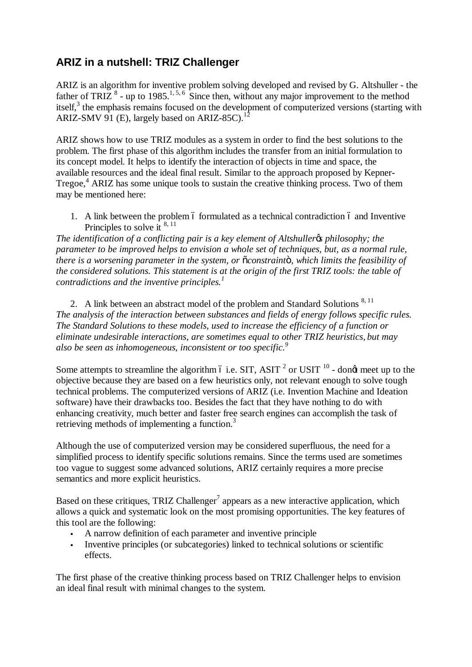## **ARIZ in a nutshell: TRIZ Challenger**

ARIZ is an algorithm for inventive problem solving developed and revised by G. Altshuller - the father of TRIZ  $8$  - up to 1985.<sup>1,5,6</sup> Since then, without any major improvement to the method itself,<sup>3</sup> the emphasis remains focused on the development of computerized versions (starting with ARIZ-SMV 91 (E), largely based on ARIZ-85C).<sup>12</sup>

ARIZ shows how to use TRIZ modules as a system in order to find the best solutions to the problem. The first phase of this algorithm includes the transfer from an initial formulation to its concept model. It helps to identify the interaction of objects in time and space, the available resources and the ideal final result. Similar to the approach proposed by Kepner-Tregoe,<sup>4</sup> ARIZ has some unique tools to sustain the creative thinking process. Two of them may be mentioned here:

1. A link between the problem 6 formulated as a technical contradiction 6 and Inventive Principles to solve it  $8, 11$ 

*The identification of a conflicting pair is a key element of Altshuller's philosophy; the parameter to be improved helps to envision a whole set of techniques, but, as a normal rule, there is a worsening parameter in the system, or "constraint", which limits the feasibility of the considered solutions. This statement is at the origin of the first TRIZ tools: the table of contradictions and the inventive principles.<sup>1</sup>*

2. A link between an abstract model of the problem and Standard Solutions  $8,11$ *The analysis of the interaction between substances and fields of energy follows specific rules. The Standard Solutions to these models, used to increase the efficiency of a function or eliminate undesirable interactions, are sometimes equal to other TRIZ heuristics, but may also be seen as inhomogeneous, inconsistent or too specific.<sup>9</sup>*

Some attempts to streamline the algorithm 6 i.e. SIT, ASIT  $^2$  or USIT  $^{10}$  - dongt meet up to the objective because they are based on a few heuristics only, not relevant enough to solve tough technical problems. The computerized versions of ARIZ (i.e. Invention Machine and Ideation software) have their drawbacks too. Besides the fact that they have nothing to do with enhancing creativity, much better and faster free search engines can accomplish the task of retrieving methods of implementing a function.<sup>3</sup>

Although the use of computerized version may be considered superfluous, the need for a simplified process to identify specific solutions remains. Since the terms used are sometimes too vague to suggest some advanced solutions, ARIZ certainly requires a more precise semantics and more explicit heuristics.

Based on these critiques, TRIZ Challenger<sup>7</sup> appears as a new interactive application, which allows a quick and systematic look on the most promising opportunities. The key features of this tool are the following:

- A narrow definition of each parameter and inventive principle
- Inventive principles (or subcategories) linked to technical solutions or scientific effects.

The first phase of the creative thinking process based on TRIZ Challenger helps to envision an ideal final result with minimal changes to the system.